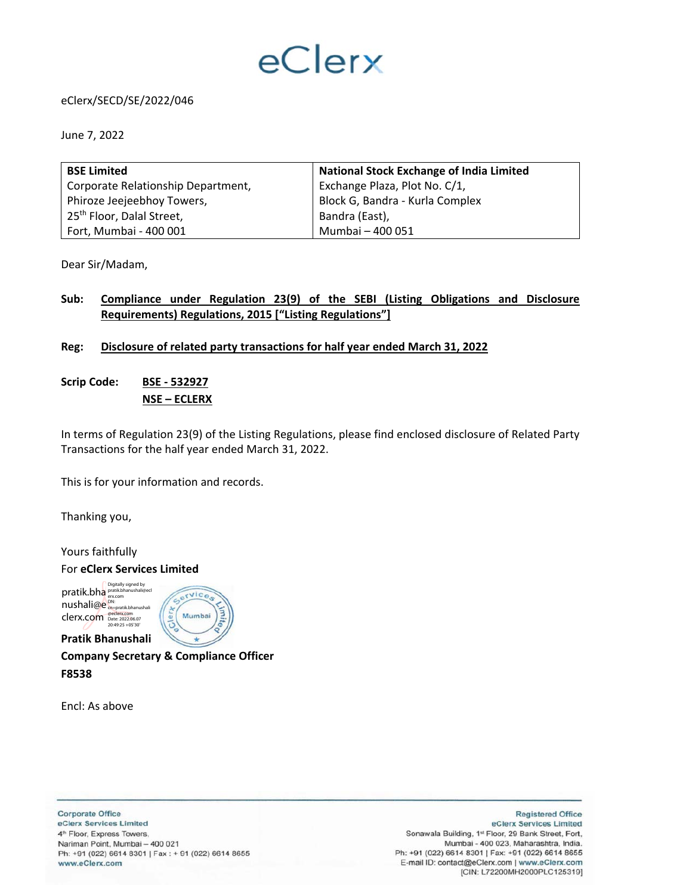# eClerx

## eClerx/SECD/SE/2022/046

June 7, 2022

| <b>BSE Limited</b>                    | <b>National Stock Exchange of India Limited</b> |  |  |  |  |  |  |
|---------------------------------------|-------------------------------------------------|--|--|--|--|--|--|
| Corporate Relationship Department,    | Exchange Plaza, Plot No. C/1,                   |  |  |  |  |  |  |
| Phiroze Jeejeebhoy Towers,            | Block G, Bandra - Kurla Complex                 |  |  |  |  |  |  |
| 25 <sup>th</sup> Floor, Dalal Street, | Bandra (East),                                  |  |  |  |  |  |  |
| Fort, Mumbai - 400 001                | Mumbai - 400 051                                |  |  |  |  |  |  |

Dear Sir/Madam,

# **Sub: Compliance under Regulation 23(9) of the SEBI (Listing Obligations and Disclosure Requirements) Regulations, 2015 ["Listing Regulations"]**

### **Reg: Disclosure of related party transactions for half year ended March 31, 2022**

**Scrip Code: BSE ‐ 532927 NSE – ECLERX** 

In terms of Regulation 23(9) of the Listing Regulations, please find enclosed disclosure of Related Party Transactions for the half year ended March 31, 2022.

This is for your information and records.

Thanking you,

Yours faithfully

For **eClerx Services Limited** 

pratik.bha<br> **pratik.bha pratik.bhanushali@ecl** nushali@e<sup>DN:</sup><br>mushali@e clerx.com @eclerx.com Date: 2022.06.07 20:49:25 +05'30'

**Pratik Bhanushali** 



**Company Secretary & Compliance Officer F8538** 

Encl: As above

**Corporate Office** eClerx Services Limited 4<sup>th</sup> Floor, Express Towers, Nariman Point, Mumbai - 400 021 Ph: +91 (022) 6614 8301 | Fax : + 91 (022) 6614 8655 www.eClerx.com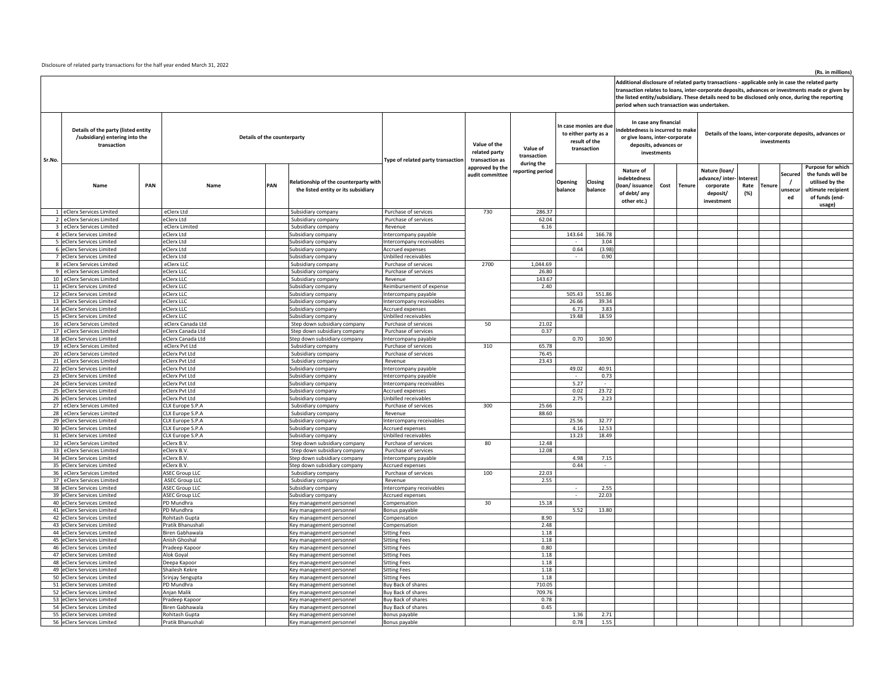Disclosure of related party transactions for the half year ended March 31, 2022

#### **(Rs. in millions)**

Additional disclosure of related party transactions - applicable only in case the related party<br>transaction relates to loans, inter-corporate deposits, advances or investments made or given by<br>the listed entity/subsidiary.

|        |                                                                                      |     |                                      |     |                                                                              |                                                  |                                                 | period when such transaction was undertaken. |                                                                                |                    |                                                                                                                                                                                                                   |        |                                                                       |                        |               |                         |                                                                                                             |
|--------|--------------------------------------------------------------------------------------|-----|--------------------------------------|-----|------------------------------------------------------------------------------|--------------------------------------------------|-------------------------------------------------|----------------------------------------------|--------------------------------------------------------------------------------|--------------------|-------------------------------------------------------------------------------------------------------------------------------------------------------------------------------------------------------------------|--------|-----------------------------------------------------------------------|------------------------|---------------|-------------------------|-------------------------------------------------------------------------------------------------------------|
| Sr.No. | Details of the party (listed entity<br>/subsidiary) entering into the<br>transaction |     | Details of the counterparty          |     |                                                                              | <b>Type of related party transaction</b>         | Value of the<br>related party<br>transaction as | Value of<br>transaction                      | In case monies are due<br>to either party as a<br>result of the<br>transaction |                    | In case any financial<br>indebtedness is incurred to make<br>Details of the loans, inter-corporate deposits, advances or<br>or give loans, inter-corporate<br>investments<br>deposits, advances or<br>investments |        |                                                                       |                        |               |                         |                                                                                                             |
|        | Name                                                                                 | PAN | Name                                 | PAN | Relationship of the counterparty with<br>the listed entity or its subsidiary |                                                  | approved by the<br>audit committee              | during the<br>reporting period               | Opening<br>balance                                                             | Closing<br>balance | Nature of<br>indebtedness<br>loan/issuance<br>Cost<br>of debt/ any<br>other etc.)                                                                                                                                 | Tenure | Nature (loan/<br>advance/inter<br>corporate<br>deposit/<br>investment | nterest<br>Rate<br>(%) | <b>Tenure</b> | Secured<br>unsecu<br>ed | Purpose for which<br>the funds will be<br>utilised by the<br>ultimate recipient<br>of funds (end-<br>usage) |
|        | 1 eClerx Services Limited                                                            |     | eClerx Ltd                           |     | Subsidiary company                                                           | Purchase of services                             | 730                                             | 286.37                                       |                                                                                |                    |                                                                                                                                                                                                                   |        |                                                                       |                        |               |                         |                                                                                                             |
|        | 2 eClerx Services Limited                                                            |     | eClerx Ltd                           |     | Subsidiary company                                                           | Purchase of services                             |                                                 | 62.04                                        |                                                                                |                    |                                                                                                                                                                                                                   |        |                                                                       |                        |               |                         |                                                                                                             |
|        | 3 eClerx Services Limited                                                            |     | eClerx Limited                       |     | Subsidiary company                                                           | Revenue                                          |                                                 | 6.16                                         |                                                                                |                    |                                                                                                                                                                                                                   |        |                                                                       |                        |               |                         |                                                                                                             |
|        | 4 eClerx Services Limited<br>5 eClerx Services Limited                               |     | eClerx Ltd<br>eClerx Ltd             |     | Subsidiary company                                                           | Intercompany payable<br>Intercompany receivables |                                                 |                                              | 143.64                                                                         | 166.78<br>3.04     |                                                                                                                                                                                                                   |        |                                                                       |                        |               |                         |                                                                                                             |
|        | 6 eClerx Services Limited                                                            |     | eClerx Ltd                           |     | Subsidiary company<br>Subsidiary company                                     | Accrued expenses                                 |                                                 |                                              | 0.64                                                                           | (3.98)             |                                                                                                                                                                                                                   |        |                                                                       |                        |               |                         |                                                                                                             |
|        | 7 eClerx Services Limited                                                            |     | eClerx Ltd                           |     | Subsidiary company                                                           | Unbilled receivables                             |                                                 |                                              |                                                                                | 0.90               |                                                                                                                                                                                                                   |        |                                                                       |                        |               |                         |                                                                                                             |
|        | 8 eClerx Services Limited                                                            |     | eClerx LLC                           |     | Subsidiary company                                                           | Purchase of services                             | 2700                                            | 1,044.69                                     |                                                                                |                    |                                                                                                                                                                                                                   |        |                                                                       |                        |               |                         |                                                                                                             |
|        | 9 eClerx Services Limited                                                            |     | eClerx LLC                           |     | Subsidiary company                                                           | Purchase of services                             |                                                 | 26.80                                        |                                                                                |                    |                                                                                                                                                                                                                   |        |                                                                       |                        |               |                         |                                                                                                             |
|        | 10 eClerx Services Limited                                                           |     | eClerx LLC                           |     | Subsidiary company                                                           | Revenue                                          |                                                 | 143.67                                       |                                                                                |                    |                                                                                                                                                                                                                   |        |                                                                       |                        |               |                         |                                                                                                             |
|        | 11 eClerx Services Limited<br>12 eClerx Services Limited                             |     | eClerx LLC<br>eClerx LLC             |     | Subsidiary company<br>Subsidiary company                                     | Reimbursement of expense<br>Intercompany payable |                                                 | 2.40                                         | 505.43                                                                         | 551.86             |                                                                                                                                                                                                                   |        |                                                                       |                        |               |                         |                                                                                                             |
|        | 13 eClerx Services Limited                                                           |     | eClerx LLC                           |     | Subsidiary company                                                           | Intercompany receivables                         |                                                 |                                              | 26.66                                                                          | 39.34              |                                                                                                                                                                                                                   |        |                                                                       |                        |               |                         |                                                                                                             |
|        | 14 eClerx Services Limited                                                           |     | eClerx LLC                           |     | Subsidiary company                                                           | Accrued expenses                                 |                                                 |                                              | 6.73                                                                           | 3.83               |                                                                                                                                                                                                                   |        |                                                                       |                        |               |                         |                                                                                                             |
|        | 15 eClerx Services Limited                                                           |     | eClerx LLC                           |     | Subsidiary company                                                           | Unbilled receivables                             |                                                 |                                              | 19.48                                                                          | 18.59              |                                                                                                                                                                                                                   |        |                                                                       |                        |               |                         |                                                                                                             |
|        | 16 eClerx Services Limited                                                           |     | eClerx Canada Ltd                    |     | Step down subsidiary company                                                 | Purchase of services                             | 50                                              | 21.02                                        |                                                                                |                    |                                                                                                                                                                                                                   |        |                                                                       |                        |               |                         |                                                                                                             |
|        | 17 eClerx Services Limited                                                           |     | eClerx Canada Ltd                    |     | Step down subsidiary company                                                 | Purchase of services                             |                                                 | 0.37                                         |                                                                                |                    |                                                                                                                                                                                                                   |        |                                                                       |                        |               |                         |                                                                                                             |
|        | 18 eClerx Services Limited                                                           |     | eClerx Canada Ltd                    |     | Step down subsidiary company                                                 | Intercompany payable                             |                                                 |                                              | 0.70                                                                           | 10.90              |                                                                                                                                                                                                                   |        |                                                                       |                        |               |                         |                                                                                                             |
|        | 19 eClerx Services Limited<br>20 eClerx Services Limited                             |     | eClerx Pvt Ltd<br>eClerx Pvt Ltd     |     | Subsidiary company<br>Subsidiary company                                     | Purchase of services<br>Purchase of services     | 310                                             | 65.78<br>76.45                               |                                                                                |                    |                                                                                                                                                                                                                   |        |                                                                       |                        |               |                         |                                                                                                             |
|        | 21 eClerx Services Limited                                                           |     | eClerx Pvt Ltd                       |     | Subsidiary company                                                           | Revenue                                          |                                                 | 23.43                                        |                                                                                |                    |                                                                                                                                                                                                                   |        |                                                                       |                        |               |                         |                                                                                                             |
|        | 22 eClerx Services Limited                                                           |     | eClerx Pvt Ltd                       |     | Subsidiary company                                                           | ntercompany payable                              |                                                 |                                              | 49.02                                                                          | 40.91              |                                                                                                                                                                                                                   |        |                                                                       |                        |               |                         |                                                                                                             |
|        | 23 eClerx Services Limited                                                           |     | eClerx Pvt Ltd                       |     | Subsidiary company                                                           | Intercompany payable                             |                                                 |                                              |                                                                                | 0.73               |                                                                                                                                                                                                                   |        |                                                                       |                        |               |                         |                                                                                                             |
|        | 24 eClerx Services Limited                                                           |     | eClerx Pvt Ltd                       |     | Subsidiary company                                                           | Intercompany receivables                         |                                                 |                                              | 5.27                                                                           | $\sim$             |                                                                                                                                                                                                                   |        |                                                                       |                        |               |                         |                                                                                                             |
|        | 25 eClerx Services Limited                                                           |     | eClerx Pvt Ltd                       |     | Subsidiary company                                                           | Accrued expenses                                 |                                                 |                                              | 0.02                                                                           | 23.72              |                                                                                                                                                                                                                   |        |                                                                       |                        |               |                         |                                                                                                             |
|        | 26 eClerx Services Limited                                                           |     | eClerx Pvt Ltd                       |     | Subsidiary company                                                           | Unbilled receivables                             |                                                 |                                              | 2.75                                                                           | 2.23               |                                                                                                                                                                                                                   |        |                                                                       |                        |               |                         |                                                                                                             |
|        | 27 eClerx Services Limited<br>28 eClerx Services Limited                             |     | CLX Europe S.P.A<br>CLX Europe S.P.A |     | Subsidiary company<br>Subsidiary company                                     | Purchase of services<br>Revenue                  | 300                                             | 25.66<br>88.60                               |                                                                                |                    |                                                                                                                                                                                                                   |        |                                                                       |                        |               |                         |                                                                                                             |
|        | 29 eClerx Services Limited                                                           |     | CLX Europe S.P.A                     |     | Subsidiary company                                                           | Intercompany receivables                         |                                                 |                                              | 25.56                                                                          | 32.77              |                                                                                                                                                                                                                   |        |                                                                       |                        |               |                         |                                                                                                             |
|        | 30 eClerx Services Limited                                                           |     | CLX Europe S.P.A                     |     | Subsidiary company                                                           | Accrued expenses                                 |                                                 |                                              | 4.16                                                                           | 12.53              |                                                                                                                                                                                                                   |        |                                                                       |                        |               |                         |                                                                                                             |
|        | 31 eClerx Services Limited                                                           |     | CLX Europe S.P.A                     |     | Subsidiary company                                                           | Unbilled receivables                             |                                                 |                                              | 13.23                                                                          | 18.49              |                                                                                                                                                                                                                   |        |                                                                       |                        |               |                         |                                                                                                             |
| 32     | eClerx Services Limited                                                              |     | eClerx B.V.                          |     | Step down subsidiary company                                                 | Purchase of services                             | 80                                              | 12.48                                        |                                                                                |                    |                                                                                                                                                                                                                   |        |                                                                       |                        |               |                         |                                                                                                             |
|        | 33 eClerx Services Limited                                                           |     | eClerx B.V.                          |     | Step down subsidiary company                                                 | Purchase of services                             |                                                 | 12.08                                        |                                                                                |                    |                                                                                                                                                                                                                   |        |                                                                       |                        |               |                         |                                                                                                             |
|        | 34 eClerx Services Limited<br>35 eClerx Services Limited                             |     | eClerx B.V.<br>eClerx B.V.           |     | Step down subsidiary company<br>Step down subsidiary company                 | Intercompany payable                             |                                                 |                                              | 4.98<br>0.44                                                                   | 7.15<br>$\sim$     |                                                                                                                                                                                                                   |        |                                                                       |                        |               |                         |                                                                                                             |
|        | 36 eClerx Services Limited                                                           |     | <b>ASEC Group LLC</b>                |     | Subsidiary company                                                           | Accrued expenses<br>Purchase of services         | 100                                             | 22.03                                        |                                                                                |                    |                                                                                                                                                                                                                   |        |                                                                       |                        |               |                         |                                                                                                             |
|        | 37 eClerx Services Limited                                                           |     | <b>ASEC Group LLC</b>                |     | Subsidiary company                                                           | Revenue                                          |                                                 | 2.55                                         |                                                                                |                    |                                                                                                                                                                                                                   |        |                                                                       |                        |               |                         |                                                                                                             |
|        | 38 eClerx Services Limited                                                           |     | <b>ASEC Group LLC</b>                |     | Subsidiary company                                                           | Intercompany receivables                         |                                                 |                                              | $\sim$                                                                         | 2.55               |                                                                                                                                                                                                                   |        |                                                                       |                        |               |                         |                                                                                                             |
|        | 39 eClerx Services Limited                                                           |     | <b>ASEC Group LLC</b>                |     | Subsidiary company                                                           | Accrued expenses                                 |                                                 |                                              | $\sim$                                                                         | 22.03              |                                                                                                                                                                                                                   |        |                                                                       |                        |               |                         |                                                                                                             |
|        | 40 eClerx Services Limited                                                           |     | PD Mundhra                           |     | Key management personnel                                                     | Compensation                                     | 30                                              | 15.18                                        |                                                                                |                    |                                                                                                                                                                                                                   |        |                                                                       |                        |               |                         |                                                                                                             |
|        | 41 eClerx Services Limited<br>42 eClerx Services Limited                             |     | PD Mundhra<br>Rohitash Gupta         |     | Key management personnel                                                     | Bonus payable<br>Compensation                    |                                                 | 8.90                                         | 5.52                                                                           | 13.80              |                                                                                                                                                                                                                   |        |                                                                       |                        |               |                         |                                                                                                             |
|        | 43 eClerx Services Limited                                                           |     | Pratik Bhanushali                    |     | Key management personnel<br>Key management personnel                         | Compensation                                     |                                                 | 2.48                                         |                                                                                |                    |                                                                                                                                                                                                                   |        |                                                                       |                        |               |                         |                                                                                                             |
|        | 44 eClerx Services Limited                                                           |     | Biren Gabhawala                      |     | Key management personnel                                                     | <b>Sitting Fees</b>                              |                                                 | 1.18                                         |                                                                                |                    |                                                                                                                                                                                                                   |        |                                                                       |                        |               |                         |                                                                                                             |
|        | 45 eClerx Services Limited                                                           |     | Anish Ghoshal                        |     | Key management personnel                                                     | <b>Sitting Fees</b>                              |                                                 | 1.18                                         |                                                                                |                    |                                                                                                                                                                                                                   |        |                                                                       |                        |               |                         |                                                                                                             |
|        | 46 eClerx Services Limited                                                           |     | Pradeep Kapoor                       |     | Key management personnel                                                     | <b>Sitting Fees</b>                              |                                                 | 0.80                                         |                                                                                |                    |                                                                                                                                                                                                                   |        |                                                                       |                        |               |                         |                                                                                                             |
|        | 47 eClerx Services Limited                                                           |     | Alok Goyal                           |     | Key management personnel                                                     | <b>Sitting Fees</b>                              |                                                 | 1.18                                         |                                                                                |                    |                                                                                                                                                                                                                   |        |                                                                       |                        |               |                         |                                                                                                             |
|        | 48 eClerx Services Limited                                                           |     | Deepa Kapoor                         |     | Key management personnel                                                     | <b>Sitting Fees</b>                              |                                                 | 1.18                                         |                                                                                |                    |                                                                                                                                                                                                                   |        |                                                                       |                        |               |                         |                                                                                                             |
|        | 49 eClerx Services Limited<br>50 eClerx Services Limited                             |     | Shailesh Kekre<br>Srinjay Sengupta   |     | Key management personnel<br>Key management personnel                         | <b>Sitting Fees</b><br><b>Sitting Fees</b>       |                                                 | 1.18<br>1.18                                 |                                                                                |                    |                                                                                                                                                                                                                   |        |                                                                       |                        |               |                         |                                                                                                             |
|        | 51 eClerx Services Limited                                                           |     | PD Mundhra                           |     | Key management personnel                                                     | Buy Back of shares                               |                                                 | 710.05                                       |                                                                                |                    |                                                                                                                                                                                                                   |        |                                                                       |                        |               |                         |                                                                                                             |
|        | 52 eClerx Services Limited                                                           |     | Anjan Malik                          |     | Key management personnel                                                     | Buy Back of shares                               |                                                 | 709.76                                       |                                                                                |                    |                                                                                                                                                                                                                   |        |                                                                       |                        |               |                         |                                                                                                             |
|        | 53 eClerx Services Limited                                                           |     | Pradeep Kapoor                       |     | Key management personnel                                                     | <b>Buy Back of shares</b>                        |                                                 | 0.78                                         |                                                                                |                    |                                                                                                                                                                                                                   |        |                                                                       |                        |               |                         |                                                                                                             |
|        | 54 eClerx Services Limited                                                           |     | Biren Gabhawala                      |     | Key management personnel                                                     | Buy Back of shares                               |                                                 | 0.45                                         |                                                                                |                    |                                                                                                                                                                                                                   |        |                                                                       |                        |               |                         |                                                                                                             |
|        | 55 eClerx Services Limited                                                           |     | Rohitash Gupta                       |     | Key management personnel                                                     | Bonus payable                                    |                                                 |                                              | 1.36                                                                           | 2.71               |                                                                                                                                                                                                                   |        |                                                                       |                        |               |                         |                                                                                                             |
|        | 56 eClerx Services Limited                                                           |     | Pratik Bhanushali                    |     | Key management personnel                                                     | Bonus payable                                    |                                                 |                                              | 0.78                                                                           | 1.55               |                                                                                                                                                                                                                   |        |                                                                       |                        |               |                         |                                                                                                             |